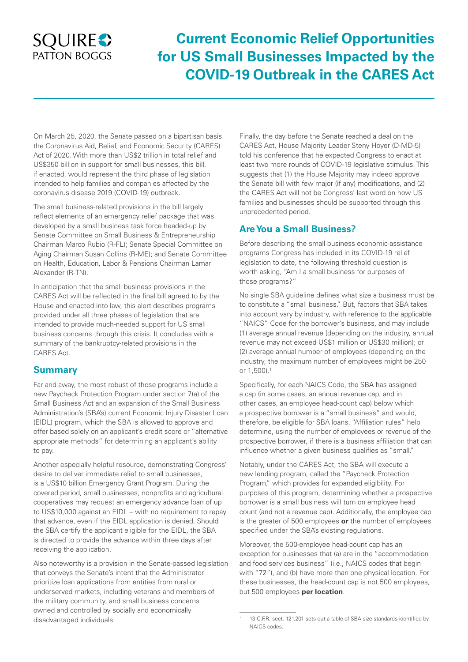## **SQUIRES** PATTON BOGGS

# **Current Economic Relief Opportunities for US Small Businesses Impacted by the COVID-19 Outbreak in the CARES Act**

On March 25, 2020, the Senate passed on a bipartisan basis the Coronavirus Aid, Relief, and Economic Security (CARES) Act of 2020. With more than US\$2 trillion in total relief and US\$350 billion in support for small businesses, this bill, if enacted, would represent the third phase of legislation intended to help families and companies affected by the coronavirus disease 2019 (COVID-19) outbreak.

The small business-related provisions in the bill largely reflect elements of an emergency relief package that was developed by a small business task force headed-up by Senate Committee on Small Business & Entrepreneurship Chairman Marco Rubio (R-FL); Senate Special Committee on Aging Chairman Susan Collins (R-ME); and Senate Committee on Health, Education, Labor & Pensions Chairman Lamar Alexander (R-TN).

In anticipation that the small business provisions in the CARES Act will be reflected in the final bill agreed to by the House and enacted into law, this alert describes programs provided under all three phases of legislation that are intended to provide much-needed support for US small business concerns through this crisis. It concludes with a summary of the bankruptcy-related provisions in the CARES Act.

## **Summary**

Far and away, the most robust of those programs include a new Paycheck Protection Program under section 7(a) of the Small Business Act and an expansion of the Small Business Administration's (SBA's) current Economic Injury Disaster Loan (EIDL) program, which the SBA is allowed to approve and offer based solely on an applicant's credit score or "alternative appropriate methods" for determining an applicant's ability to pay.

Another especially helpful resource, demonstrating Congress' desire to deliver immediate relief to small businesses, is a US\$10 billion Emergency Grant Program. During the covered period, small businesses, nonprofits and agricultural cooperatives may request an emergency advance loan of up to US\$10,000 against an EIDL – with no requirement to repay that advance, even if the EIDL application is denied. Should the SBA certify the applicant eligible for the EIDL, the SBA is directed to provide the advance within three days after receiving the application.

Also noteworthy is a provision in the Senate-passed legislation that conveys the Senate's intent that the Administrator prioritize loan applications from entities from rural or underserved markets, including veterans and members of the military community, and small business concerns owned and controlled by socially and economically disadvantaged individuals.

Finally, the day before the Senate reached a deal on the CARES Act, House Majority Leader Steny Hoyer (D-MD-5) told his conference that he expected Congress to enact at least two more rounds of COVID-19 legislative stimulus. This suggests that (1) the House Majority may indeed approve the Senate bill with few major (if any) modifications, and (2) the CARES Act will not be Congress' last word on how US families and businesses should be supported through this unprecedented period.

## **Are You a Small Business?**

Before describing the small business economic-assistance programs Congress has included in its COVID-19 relief legislation to date, the following threshold question is worth asking, "Am I a small business for purposes of those programs?"

No single SBA guideline defines what size a business must be to constitute a "small business." But, factors that SBA takes into account vary by industry, with reference to the applicable "NAICS" Code for the borrower's business, and may include (1) average annual revenue (depending on the industry, annual revenue may not exceed US\$1 million or US\$30 million); or (2) average annual number of employees (depending on the industry, the maximum number of employees might be 250 or 1,500).1

Specifically, for each NAICS Code, the SBA has assigned a cap (in some cases, an annual revenue cap, and in other cases, an employee head-count cap) below which a prospective borrower is a "small business" and would, therefore, be eligible for SBA loans. "Affiliation rules" help determine, using the number of employees or revenue of the prospective borrower, if there is a business affiliation that can influence whether a given business qualifies as "small."

Notably, under the CARES Act, the SBA will execute a new lending program, called the "Paycheck Protection Program," which provides for expanded eligibility. For purposes of this program, determining whether a prospective borrower is a small business will turn on employee head count (and not a revenue cap). Additionally, the employee cap is the greater of 500 employees **or** the number of employees specified under the SBA's existing regulations.

Moreover, the 500-employee head-count cap has an exception for businesses that (a) are in the "accommodation and food services business" (i.e., NAICS codes that begin with "72"), and (b) have more than one physical location. For these businesses, the head-count cap is not 500 employees, but 500 employees **per location**.

<sup>1</sup> 13 C.F.R. sect. 121.201 sets out a table of SBA size standards identified by NAICS codes.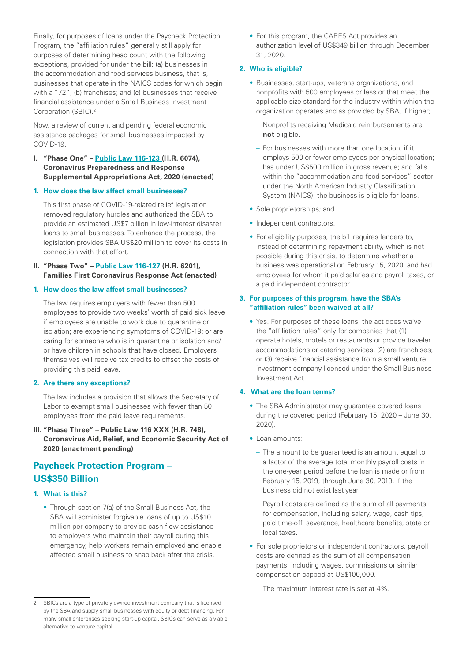Finally, for purposes of loans under the Paycheck Protection Program, the "affiliation rules" generally still apply for purposes of determining head count with the following exceptions, provided for under the bill: (a) businesses in the accommodation and food services business, that is, businesses that operate in the NAICS codes for which begin with a "72"; (b) franchises; and (c) businesses that receive financial assistance under a Small Business Investment Corporation (SBIC).2

Now, a review of current and pending federal economic assistance packages for small businesses impacted by COVID-19.

- **I. "Phase One" – [Public Law 116-123](https://congress.gov/116/bills/hr6074/BILLS-116hr6074enr.pdf) (H.R. 6074), Coronavirus Preparedness and Response Supplemental Appropriations Act, 2020 (enacted)**
- **1. How does the law affect small businesses?**

This first phase of COVID-19-related relief legislation removed regulatory hurdles and authorized the SBA to provide an estimated US\$7 billion in low-interest disaster loans to small businesses. To enhance the process, the legislation provides SBA US\$20 million to cover its costs in connection with that effort.

**II. "Phase Two" – [Public Law 116-127](https://www.congress.gov/116/bills/hr6201/BILLS-116hr6201enr.pdf) (H.R. 6201), Families First Coronavirus Response Act (enacted)**

#### **1. How does the law affect small businesses?**

The law requires employers with fewer than 500 employees to provide two weeks' worth of paid sick leave if employees are unable to work due to quarantine or isolation; are experiencing symptoms of COVID-19; or are caring for someone who is in quarantine or isolation and/ or have children in schools that have closed. Employers themselves will receive tax credits to offset the costs of providing this paid leave.

#### **2. Are there any exceptions?**

The law includes a provision that allows the Secretary of Labor to exempt small businesses with fewer than 50 employees from the paid leave requirements.

**III. "Phase Three" – Public Law 116 XXX (H.R. 748), Coronavirus Aid, Relief, and Economic Security Act of 2020 (enactment pending)**

## **Paycheck Protection Program – US\$350 Billion**

#### **1. What is this?**

• Through section 7(a) of the Small Business Act, the SBA will administer forgivable loans of up to US\$10 million per company to provide cash-flow assistance to employers who maintain their payroll during this emergency, help workers remain employed and enable affected small business to snap back after the crisis.

• For this program, the CARES Act provides an authorization level of US\$349 billion through December 31, 2020.

#### **2. Who is eligible?**

- Businesses, start-ups, veterans organizations, and nonprofits with 500 employees or less or that meet the applicable size standard for the industry within which the organization operates and as provided by SBA, if higher;
	- Nonprofits receiving Medicaid reimbursements are **not** eligible.
	- For businesses with more than one location, if it employs 500 or fewer employees per physical location; has under US\$500 million in gross revenue; and falls within the "accommodation and food services" sector under the North American Industry Classification System (NAICS), the business is eligible for loans.
- Sole proprietorships; and
- Independent contractors.
- For eligibility purposes, the bill requires lenders to, instead of determining repayment ability, which is not possible during this crisis, to determine whether a business was operational on February 15, 2020, and had employees for whom it paid salaries and payroll taxes, or a paid independent contractor.

#### **3. For purposes of this program, have the SBA's "affiliation rules" been waived at all?**

• Yes. For purposes of these loans, the act does waive the "affiliation rules" only for companies that (1) operate hotels, motels or restaurants or provide traveler accommodations or catering services; (2) are franchises; or (3) receive financial assistance from a small venture investment company licensed under the Small Business Investment Act.

#### **4. What are the loan terms?**

- The SBA Administrator may guarantee covered loans during the covered period (February 15, 2020 – June 30, 2020).
- Loan amounts:
	- The amount to be guaranteed is an amount equal to a factor of the average total monthly payroll costs in the one-year period before the loan is made or from February 15, 2019, through June 30, 2019, if the business did not exist last year.
	- Payroll costs are defined as the sum of all payments for compensation, including salary, wage, cash tips, paid time-off, severance, healthcare benefits, state or local taxes.
- For sole proprietors or independent contractors, payroll costs are defined as the sum of all compensation payments, including wages, commissions or similar compensation capped at US\$100,000.
	- The maximum interest rate is set at 4%.

<sup>2</sup> SBICs are a type of privately owned investment company that is licensed by the SBA and supply small businesses with equity or debt financing. For many small enterprises seeking start-up capital, SBICs can serve as a viable alternative to venture capital.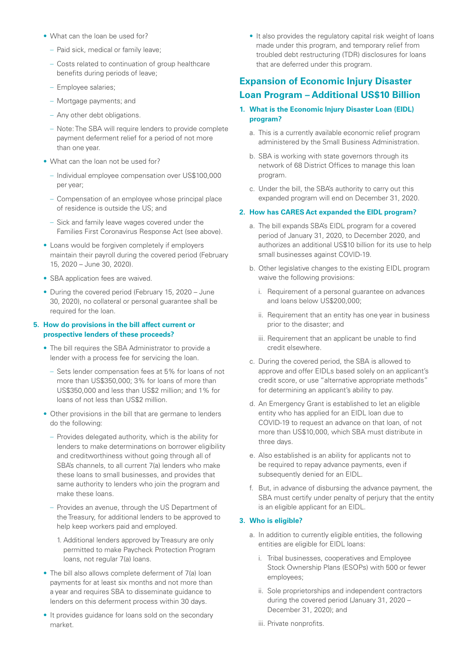- What can the loan be used for?
	- Paid sick, medical or family leave;
	- Costs related to continuation of group healthcare benefits during periods of leave;
	- Employee salaries;
	- Mortgage payments; and
	- Any other debt obligations.
	- Note: The SBA will require lenders to provide complete payment deferment relief for a period of not more than one year.
- What can the loan not be used for?
	- Individual employee compensation over US\$100,000 per year;
	- Compensation of an employee whose principal place of residence is outside the US; and
	- Sick and family leave wages covered under the Families First Coronavirus Response Act (see above).
- Loans would be forgiven completely if employers maintain their payroll during the covered period (February 15, 2020 – June 30, 2020).
- SBA application fees are waived.
- During the covered period (February 15, 2020 June 30, 2020), no collateral or personal guarantee shall be required for the loan.

#### **5. How do provisions in the bill affect current or prospective lenders of these proceeds?**

- The bill requires the SBA Administrator to provide a lender with a process fee for servicing the loan.
	- Sets lender compensation fees at 5% for loans of not more than US\$350,000; 3% for loans of more than US\$350,000 and less than US\$2 million; and 1% for loans of not less than US\$2 million.
- Other provisions in the bill that are germane to lenders do the following:
	- Provides delegated authority, which is the ability for lenders to make determinations on borrower eligibility and creditworthiness without going through all of SBA's channels, to all current 7(a) lenders who make these loans to small businesses, and provides that same authority to lenders who join the program and make these loans.
	- Provides an avenue, through the US Department of the Treasury, for additional lenders to be approved to help keep workers paid and employed.
		- 1. Additional lenders approved by Treasury are only permitted to make Paycheck Protection Program loans, not regular 7(a) loans.
- The bill also allows complete deferment of 7(a) loan payments for at least six months and not more than a year and requires SBA to disseminate guidance to lenders on this deferment process within 30 days.
- It provides guidance for loans sold on the secondary market.

• It also provides the regulatory capital risk weight of loans made under this program, and temporary relief from troubled debt restructuring (TDR) disclosures for loans that are deferred under this program.

## **Expansion of Economic Injury Disaster Loan Program – Additional US\$10 Billion**

- **1. What is the Economic Injury Disaster Loan (EIDL) program?**
	- a. This is a currently available economic relief program administered by the Small Business Administration.
	- b. SBA is working with state governors through its network of 68 District Offices to manage this loan program.
	- c. Under the bill, the SBA's authority to carry out this expanded program will end on December 31, 2020.

#### **2. How has CARES Act expanded the EIDL program?**

- a. The bill expands SBA's EIDL program for a covered period of January 31, 2020, to December 2020, and authorizes an additional US\$10 billion for its use to help small businesses against COVID-19.
- b. Other legislative changes to the existing EIDL program waive the following provisions:
	- i. Requirement of a personal guarantee on advances and loans below US\$200,000;
	- ii. Requirement that an entity has one year in business prior to the disaster; and
	- iii. Requirement that an applicant be unable to find credit elsewhere.
- c. During the covered period, the SBA is allowed to approve and offer EIDLs based solely on an applicant's credit score, or use "alternative appropriate methods" for determining an applicant's ability to pay.
- d. An Emergency Grant is established to let an eligible entity who has applied for an EIDL loan due to COVID-19 to request an advance on that loan, of not more than US\$10,000, which SBA must distribute in three days.
- e. Also established is an ability for applicants not to be required to repay advance payments, even if subsequently denied for an EIDL.
- f. But, in advance of disbursing the advance payment, the SBA must certify under penalty of perjury that the entity is an eligible applicant for an EIDL.

#### **3. Who is eligible?**

- a. In addition to currently eligible entities, the following entities are eligible for EIDL loans:
	- i. Tribal businesses, cooperatives and Employee Stock Ownership Plans (ESOPs) with 500 or fewer employees;
	- ii. Sole proprietorships and independent contractors during the covered period (January 31, 2020 – December 31, 2020); and
	- iii. Private nonprofits.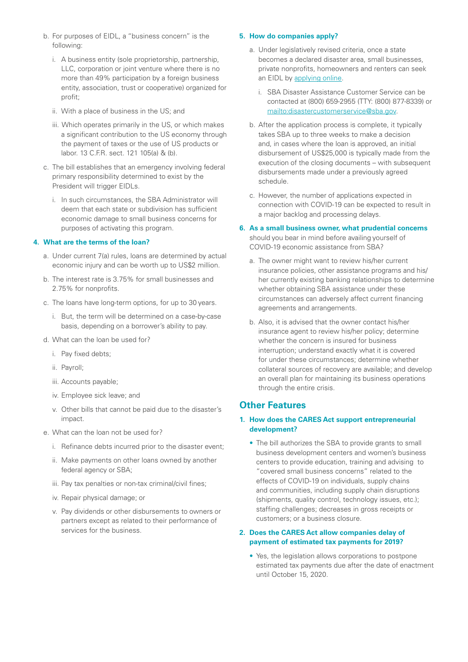- b. For purposes of EIDL, a "business concern" is the following:
	- i. A business entity (sole proprietorship, partnership, LLC, corporation or joint venture where there is no more than 49% participation by a foreign business entity, association, trust or cooperative) organized for profit;
	- ii. With a place of business in the US; and
	- iii. Which operates primarily in the US, or which makes a significant contribution to the US economy through the payment of taxes or the use of US products or labor. 13 C.F.R. sect. 121 105(a) & (b).
- c. The bill establishes that an emergency involving federal primary responsibility determined to exist by the President will trigger EIDLs.
	- i. In such circumstances, the SBA Administrator will deem that each state or subdivision has sufficient economic damage to small business concerns for purposes of activating this program.

#### **4. What are the terms of the loan?**

- a. Under current 7(a) rules, loans are determined by actual economic injury and can be worth up to US\$2 million.
- b. The interest rate is 3.75% for small businesses and 2.75% for nonprofits.
- c. The loans have long-term options, for up to 30 years.
	- i. But, the term will be determined on a case-by-case basis, depending on a borrower's ability to pay.
- d. What can the loan be used for?
	- i. Pay fixed debts;
	- ii. Payroll;
	- iii. Accounts payable;
	- iv. Employee sick leave; and
	- v. Other bills that cannot be paid due to the disaster's impact.
- e. What can the loan not be used for?
	- i. Refinance debts incurred prior to the disaster event;
	- ii. Make payments on other loans owned by another federal agency or SBA;
	- iii. Pay tax penalties or non-tax criminal/civil fines;
	- iv. Repair physical damage; or
	- v. Pay dividends or other disbursements to owners or partners except as related to their performance of services for the business.

#### **5. How do companies apply?**

- a. Under legislatively revised criteria, once a state becomes a declared disaster area, small businesses, private nonprofits, homeowners and renters can seek an EIDL by [applying online.](https://disasterloan.sba.gov/ela/)
	- i. SBA Disaster Assistance Customer Service can be contacted at (800) 659-2955 (TTY: (800) 877-8339) or <mailto:disastercustomerservice@sba.gov>.
- b. After the application process is complete, it typically takes SBA up to three weeks to make a decision and, in cases where the loan is approved, an initial disbursement of US\$25,000 is typically made from the execution of the closing documents – with subsequent disbursements made under a previously agreed schedule.
- c. However, the number of applications expected in connection with COVID-19 can be expected to result in a major backlog and processing delays.

#### **6. As a small business owner, what prudential concerns**

should you bear in mind before availing yourself of COVID-19 economic assistance from SBA?

- a. The owner might want to review his/her current insurance policies, other assistance programs and his/ her currently existing banking relationships to determine whether obtaining SBA assistance under these circumstances can adversely affect current financing agreements and arrangements.
- b. Also, it is advised that the owner contact his/her insurance agent to review his/her policy; determine whether the concern is insured for business interruption; understand exactly what it is covered for under these circumstances; determine whether collateral sources of recovery are available; and develop an overall plan for maintaining its business operations through the entire crisis.

## **Other Features**

#### **1. How does the CARES Act support entrepreneurial development?**

• The bill authorizes the SBA to provide grants to small business development centers and women's business centers to provide education, training and advising to "covered small business concerns" related to the effects of COVID-19 on individuals, supply chains and communities, including supply chain disruptions (shipments, quality control, technology issues, etc.); staffing challenges; decreases in gross receipts or customers; or a business closure.

#### **2. Does the CARES Act allow companies delay of payment of estimated tax payments for 2019?**

• Yes, the legislation allows corporations to postpone estimated tax payments due after the date of enactment until October 15, 2020.